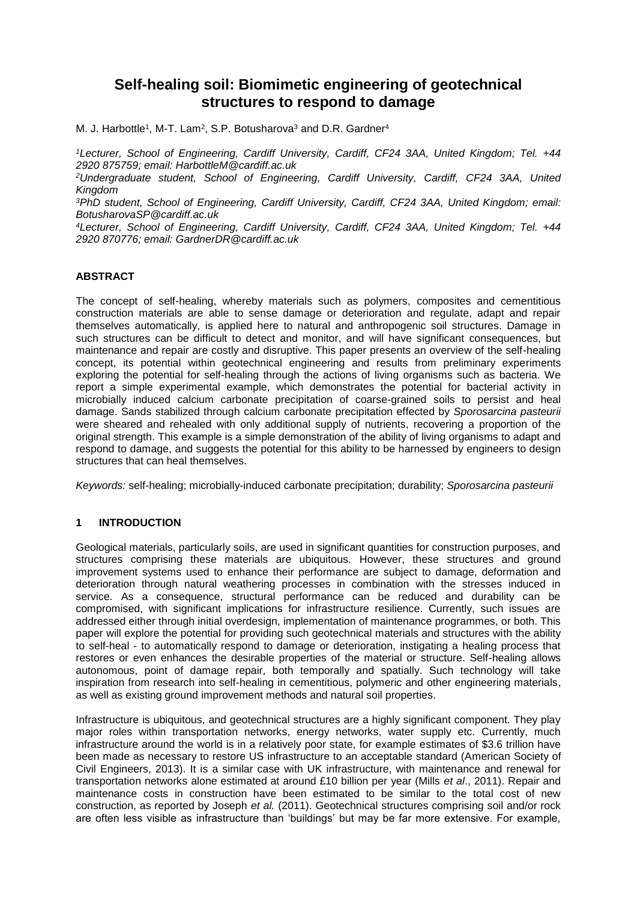# **Self-healing soil: Biomimetic engineering of geotechnical structures to respond to damage**

M. J. Harbottle<sup>1</sup>, M-T. Lam<sup>2</sup>, S.P. Botusharova<sup>3</sup> and D.R. Gardner<sup>4</sup>

*<sup>1</sup>Lecturer, School of Engineering, Cardiff University, Cardiff, CF24 3AA, United Kingdom; Tel. +44 2920 875759; email: HarbottleM@cardiff.ac.uk*

*<sup>2</sup>Undergraduate student, School of Engineering, Cardiff University, Cardiff, CF24 3AA, United Kingdom*

*<sup>3</sup>PhD student, School of Engineering, Cardiff University, Cardiff, CF24 3AA, United Kingdom; email: BotusharovaSP@cardiff.ac.uk*

*<sup>4</sup>Lecturer, School of Engineering, Cardiff University, Cardiff, CF24 3AA, United Kingdom; Tel. +44 2920 870776; email: GardnerDR@cardiff.ac.uk*

### **ABSTRACT**

The concept of self-healing, whereby materials such as polymers, composites and cementitious construction materials are able to sense damage or deterioration and regulate, adapt and repair themselves automatically, is applied here to natural and anthropogenic soil structures. Damage in such structures can be difficult to detect and monitor, and will have significant consequences, but maintenance and repair are costly and disruptive. This paper presents an overview of the self-healing concept, its potential within geotechnical engineering and results from preliminary experiments exploring the potential for self-healing through the actions of living organisms such as bacteria. We report a simple experimental example, which demonstrates the potential for bacterial activity in microbially induced calcium carbonate precipitation of coarse-grained soils to persist and heal damage. Sands stabilized through calcium carbonate precipitation effected by *Sporosarcina pasteurii* were sheared and rehealed with only additional supply of nutrients, recovering a proportion of the original strength. This example is a simple demonstration of the ability of living organisms to adapt and respond to damage, and suggests the potential for this ability to be harnessed by engineers to design structures that can heal themselves.

*Keywords:* self-healing; microbially-induced carbonate precipitation; durability; *Sporosarcina pasteurii*

### **1 INTRODUCTION**

Geological materials, particularly soils, are used in significant quantities for construction purposes, and structures comprising these materials are ubiquitous. However, these structures and ground improvement systems used to enhance their performance are subject to damage, deformation and deterioration through natural weathering processes in combination with the stresses induced in service. As a consequence, structural performance can be reduced and durability can be compromised, with significant implications for infrastructure resilience. Currently, such issues are addressed either through initial overdesign, implementation of maintenance programmes, or both. This paper will explore the potential for providing such geotechnical materials and structures with the ability to self-heal - to automatically respond to damage or deterioration, instigating a healing process that restores or even enhances the desirable properties of the material or structure. Self-healing allows autonomous, point of damage repair, both temporally and spatially. Such technology will take inspiration from research into self-healing in cementitious, polymeric and other engineering materials, as well as existing ground improvement methods and natural soil properties.

Infrastructure is ubiquitous, and geotechnical structures are a highly significant component. They play major roles within transportation networks, energy networks, water supply etc. Currently, much infrastructure around the world is in a relatively poor state, for example estimates of \$3.6 trillion have been made as necessary to restore US infrastructure to an acceptable standard (American Society of Civil Engineers, 2013). It is a similar case with UK infrastructure, with maintenance and renewal for transportation networks alone estimated at around £10 billion per year (Mills *et al*., 2011). Repair and maintenance costs in construction have been estimated to be similar to the total cost of new construction, as reported by Joseph *et al.* (2011). Geotechnical structures comprising soil and/or rock are often less visible as infrastructure than 'buildings' but may be far more extensive. For example,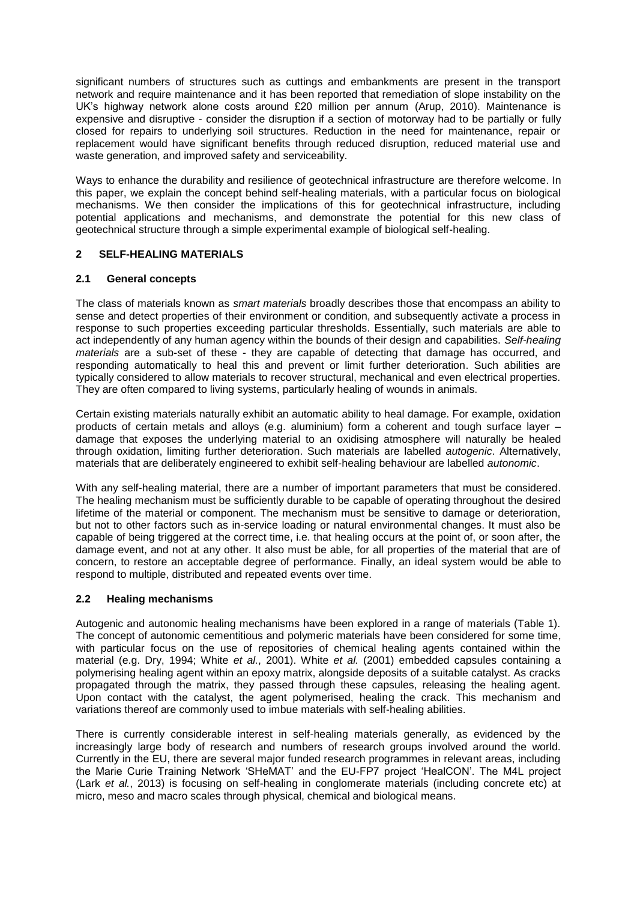significant numbers of structures such as cuttings and embankments are present in the transport network and require maintenance and it has been reported that remediation of slope instability on the UK's highway network alone costs around £20 million per annum (Arup, 2010). Maintenance is expensive and disruptive - consider the disruption if a section of motorway had to be partially or fully closed for repairs to underlying soil structures. Reduction in the need for maintenance, repair or replacement would have significant benefits through reduced disruption, reduced material use and waste generation, and improved safety and serviceability.

Ways to enhance the durability and resilience of geotechnical infrastructure are therefore welcome. In this paper, we explain the concept behind self-healing materials, with a particular focus on biological mechanisms. We then consider the implications of this for geotechnical infrastructure, including potential applications and mechanisms, and demonstrate the potential for this new class of geotechnical structure through a simple experimental example of biological self-healing.

### **2 SELF-HEALING MATERIALS**

### **2.1 General concepts**

The class of materials known as *smart materials* broadly describes those that encompass an ability to sense and detect properties of their environment or condition, and subsequently activate a process in response to such properties exceeding particular thresholds. Essentially, such materials are able to act independently of any human agency within the bounds of their design and capabilities. *Self-healing materials* are a sub-set of these - they are capable of detecting that damage has occurred, and responding automatically to heal this and prevent or limit further deterioration. Such abilities are typically considered to allow materials to recover structural, mechanical and even electrical properties. They are often compared to living systems, particularly healing of wounds in animals.

Certain existing materials naturally exhibit an automatic ability to heal damage. For example, oxidation products of certain metals and alloys (e.g. aluminium) form a coherent and tough surface layer – damage that exposes the underlying material to an oxidising atmosphere will naturally be healed through oxidation, limiting further deterioration. Such materials are labelled *autogenic*. Alternatively, materials that are deliberately engineered to exhibit self-healing behaviour are labelled *autonomic*.

With any self-healing material, there are a number of important parameters that must be considered. The healing mechanism must be sufficiently durable to be capable of operating throughout the desired lifetime of the material or component. The mechanism must be sensitive to damage or deterioration, but not to other factors such as in-service loading or natural environmental changes. It must also be capable of being triggered at the correct time, i.e. that healing occurs at the point of, or soon after, the damage event, and not at any other. It also must be able, for all properties of the material that are of concern, to restore an acceptable degree of performance. Finally, an ideal system would be able to respond to multiple, distributed and repeated events over time.

### **2.2 Healing mechanisms**

Autogenic and autonomic healing mechanisms have been explored in a range of materials (Table 1). The concept of autonomic cementitious and polymeric materials have been considered for some time, with particular focus on the use of repositories of chemical healing agents contained within the material (e.g. Dry, 1994; White *et al.*, 2001). White *et al.* (2001) embedded capsules containing a polymerising healing agent within an epoxy matrix, alongside deposits of a suitable catalyst. As cracks propagated through the matrix, they passed through these capsules, releasing the healing agent. Upon contact with the catalyst, the agent polymerised, healing the crack. This mechanism and variations thereof are commonly used to imbue materials with self-healing abilities.

There is currently considerable interest in self-healing materials generally, as evidenced by the increasingly large body of research and numbers of research groups involved around the world. Currently in the EU, there are several major funded research programmes in relevant areas, including the Marie Curie Training Network 'SHeMAT' and the EU-FP7 project 'HealCON'. The M4L project (Lark *et al.*, 2013) is focusing on self-healing in conglomerate materials (including concrete etc) at micro, meso and macro scales through physical, chemical and biological means.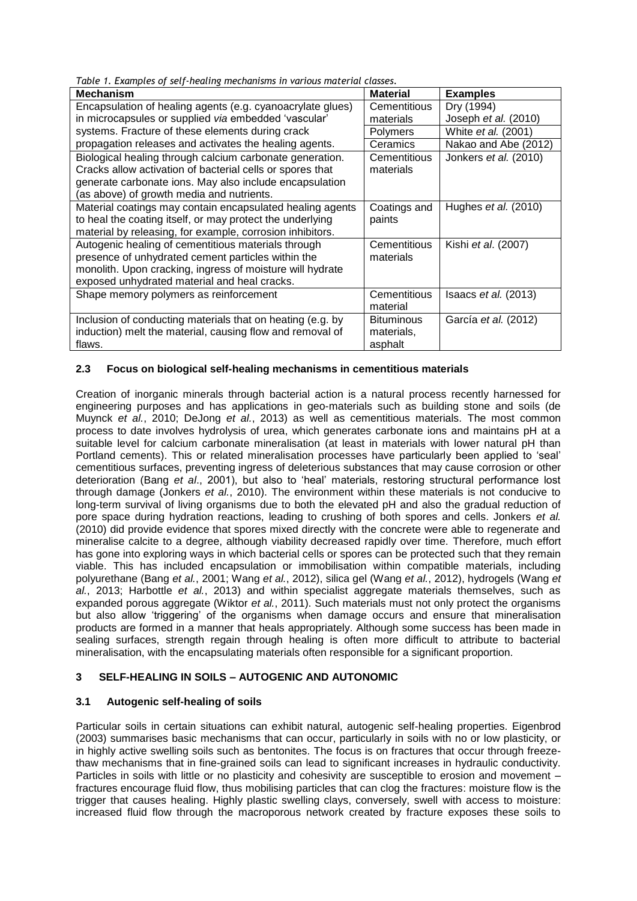*Table 1. Examples of self-healing mechanisms in various material classes.*

| rabic <i>i</i> : Examples of setting incentations in various material<br><b>Mechanism</b> | <b>Material</b>   | <b>Examples</b>            |
|-------------------------------------------------------------------------------------------|-------------------|----------------------------|
| Encapsulation of healing agents (e.g. cyanoacrylate glues)                                | Cementitious      | Dry (1994)                 |
| in microcapsules or supplied via embedded 'vascular'                                      | materials         | Joseph et al. (2010)       |
| systems. Fracture of these elements during crack                                          | Polymers          | White <i>et al.</i> (2001) |
| propagation releases and activates the healing agents.                                    | Ceramics          | Nakao and Abe (2012)       |
| Biological healing through calcium carbonate generation.                                  | Cementitious      | Jonkers et al. (2010)      |
| Cracks allow activation of bacterial cells or spores that                                 | materials         |                            |
| generate carbonate ions. May also include encapsulation                                   |                   |                            |
| (as above) of growth media and nutrients.                                                 |                   |                            |
| Material coatings may contain encapsulated healing agents                                 | Coatings and      | Hughes et al. (2010)       |
| to heal the coating itself, or may protect the underlying                                 | paints            |                            |
| material by releasing, for example, corrosion inhibitors.                                 |                   |                            |
| Autogenic healing of cementitious materials through                                       | Cementitious      | Kishi <i>et al.</i> (2007) |
| presence of unhydrated cement particles within the                                        | materials         |                            |
| monolith. Upon cracking, ingress of moisture will hydrate                                 |                   |                            |
| exposed unhydrated material and heal cracks.                                              |                   |                            |
| Shape memory polymers as reinforcement                                                    | Cementitious      | Isaacs $et$ al. (2013)     |
|                                                                                           | material          |                            |
| Inclusion of conducting materials that on heating (e.g. by                                | <b>Bituminous</b> | García et al. (2012)       |
| induction) melt the material, causing flow and removal of                                 | materials,        |                            |
| flaws.                                                                                    | asphalt           |                            |

## **2.3 Focus on biological self-healing mechanisms in cementitious materials**

Creation of inorganic minerals through bacterial action is a natural process recently harnessed for engineering purposes and has applications in geo-materials such as building stone and soils (de Muynck *et al.*, 2010; DeJong *et al.*, 2013) as well as cementitious materials. The most common process to date involves hydrolysis of urea, which generates carbonate ions and maintains pH at a suitable level for calcium carbonate mineralisation (at least in materials with lower natural pH than Portland cements). This or related mineralisation processes have particularly been applied to 'seal' cementitious surfaces, preventing ingress of deleterious substances that may cause corrosion or other deterioration (Bang *et al*., 2001), but also to 'heal' materials, restoring structural performance lost through damage (Jonkers *et al.*, 2010). The environment within these materials is not conducive to long-term survival of living organisms due to both the elevated pH and also the gradual reduction of pore space during hydration reactions, leading to crushing of both spores and cells. Jonkers *et al.* (2010) did provide evidence that spores mixed directly with the concrete were able to regenerate and mineralise calcite to a degree, although viability decreased rapidly over time. Therefore, much effort has gone into exploring ways in which bacterial cells or spores can be protected such that they remain viable. This has included encapsulation or immobilisation within compatible materials, including polyurethane (Bang *et al.*, 2001; Wang *et al.*, 2012), silica gel (Wang *et al.*, 2012), hydrogels (Wang *et al.*, 2013; Harbottle *et al.*, 2013) and within specialist aggregate materials themselves, such as expanded porous aggregate (Wiktor *et al.*, 2011). Such materials must not only protect the organisms but also allow 'triggering' of the organisms when damage occurs and ensure that mineralisation products are formed in a manner that heals appropriately. Although some success has been made in sealing surfaces, strength regain through healing is often more difficult to attribute to bacterial mineralisation, with the encapsulating materials often responsible for a significant proportion.

### **3 SELF-HEALING IN SOILS – AUTOGENIC AND AUTONOMIC**

### **3.1 Autogenic self-healing of soils**

Particular soils in certain situations can exhibit natural, autogenic self-healing properties. Eigenbrod (2003) summarises basic mechanisms that can occur, particularly in soils with no or low plasticity, or in highly active swelling soils such as bentonites. The focus is on fractures that occur through freezethaw mechanisms that in fine-grained soils can lead to significant increases in hydraulic conductivity. Particles in soils with little or no plasticity and cohesivity are susceptible to erosion and movement – fractures encourage fluid flow, thus mobilising particles that can clog the fractures: moisture flow is the trigger that causes healing. Highly plastic swelling clays, conversely, swell with access to moisture: increased fluid flow through the macroporous network created by fracture exposes these soils to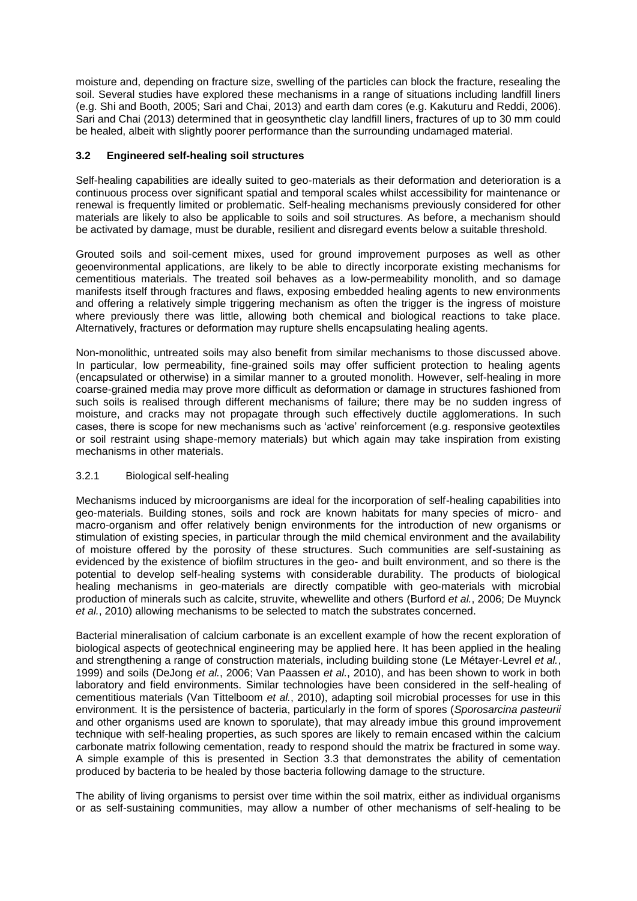moisture and, depending on fracture size, swelling of the particles can block the fracture, resealing the soil. Several studies have explored these mechanisms in a range of situations including landfill liners (e.g. Shi and Booth, 2005; Sari and Chai, 2013) and earth dam cores (e.g. Kakuturu and Reddi, 2006). Sari and Chai (2013) determined that in geosynthetic clay landfill liners, fractures of up to 30 mm could be healed, albeit with slightly poorer performance than the surrounding undamaged material.

#### **3.2 Engineered self-healing soil structures**

Self-healing capabilities are ideally suited to geo-materials as their deformation and deterioration is a continuous process over significant spatial and temporal scales whilst accessibility for maintenance or renewal is frequently limited or problematic. Self-healing mechanisms previously considered for other materials are likely to also be applicable to soils and soil structures. As before, a mechanism should be activated by damage, must be durable, resilient and disregard events below a suitable threshold.

Grouted soils and soil-cement mixes, used for ground improvement purposes as well as other geoenvironmental applications, are likely to be able to directly incorporate existing mechanisms for cementitious materials. The treated soil behaves as a low-permeability monolith, and so damage manifests itself through fractures and flaws, exposing embedded healing agents to new environments and offering a relatively simple triggering mechanism as often the trigger is the ingress of moisture where previously there was little, allowing both chemical and biological reactions to take place. Alternatively, fractures or deformation may rupture shells encapsulating healing agents.

Non-monolithic, untreated soils may also benefit from similar mechanisms to those discussed above. In particular, low permeability, fine-grained soils may offer sufficient protection to healing agents (encapsulated or otherwise) in a similar manner to a grouted monolith. However, self-healing in more coarse-grained media may prove more difficult as deformation or damage in structures fashioned from such soils is realised through different mechanisms of failure; there may be no sudden ingress of moisture, and cracks may not propagate through such effectively ductile agglomerations. In such cases, there is scope for new mechanisms such as 'active' reinforcement (e.g. responsive geotextiles or soil restraint using shape-memory materials) but which again may take inspiration from existing mechanisms in other materials.

#### 3.2.1 Biological self-healing

Mechanisms induced by microorganisms are ideal for the incorporation of self-healing capabilities into geo-materials. Building stones, soils and rock are known habitats for many species of micro- and macro-organism and offer relatively benign environments for the introduction of new organisms or stimulation of existing species, in particular through the mild chemical environment and the availability of moisture offered by the porosity of these structures. Such communities are self-sustaining as evidenced by the existence of biofilm structures in the geo- and built environment, and so there is the potential to develop self-healing systems with considerable durability. The products of biological healing mechanisms in geo-materials are directly compatible with geo-materials with microbial production of minerals such as calcite, struvite, whewellite and others (Burford *et al.*, 2006; De Muynck *et al.*, 2010) allowing mechanisms to be selected to match the substrates concerned.

Bacterial mineralisation of calcium carbonate is an excellent example of how the recent exploration of biological aspects of geotechnical engineering may be applied here. It has been applied in the healing and strengthening a range of construction materials, including building stone (Le Métayer-Levrel *et al.*, 1999) and soils (DeJong *et al.*, 2006; Van Paassen *et al.*, 2010), and has been shown to work in both laboratory and field environments. Similar technologies have been considered in the self-healing of cementitious materials (Van Tittelboom *et al.*, 2010), adapting soil microbial processes for use in this environment. It is the persistence of bacteria, particularly in the form of spores (*Sporosarcina pasteurii* and other organisms used are known to sporulate), that may already imbue this ground improvement technique with self-healing properties, as such spores are likely to remain encased within the calcium carbonate matrix following cementation, ready to respond should the matrix be fractured in some way. A simple example of this is presented in Section 3.3 that demonstrates the ability of cementation produced by bacteria to be healed by those bacteria following damage to the structure.

The ability of living organisms to persist over time within the soil matrix, either as individual organisms or as self-sustaining communities, may allow a number of other mechanisms of self-healing to be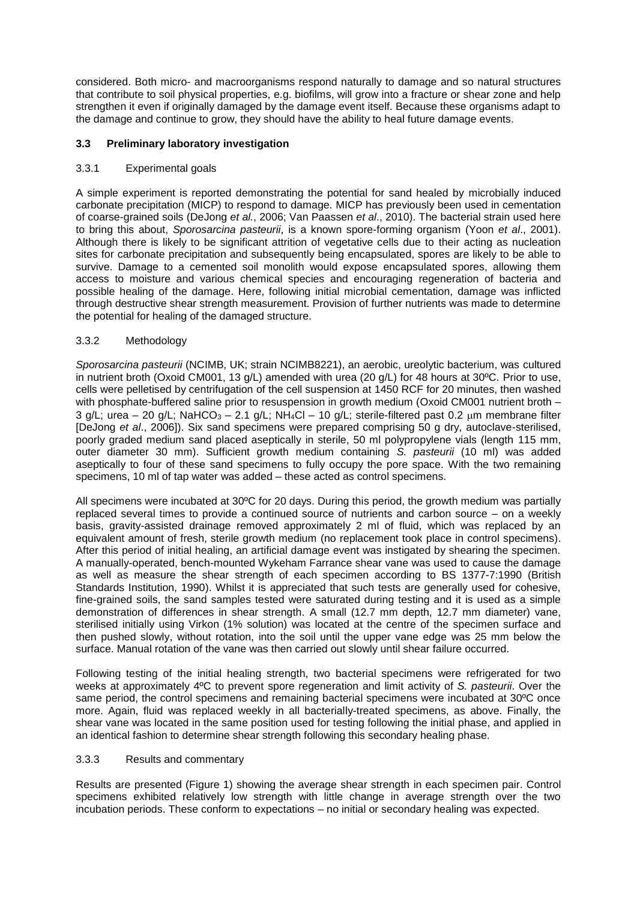considered. Both micro- and macroorganisms respond naturally to damage and so natural structures that contribute to soil physical properties, e.g. biofilms, will grow into a fracture or shear zone and help strengthen it even if originally damaged by the damage event itself. Because these organisms adapt to the damage and continue to grow, they should have the ability to heal future damage events.

#### **3.3 Preliminary laboratory investigation**

#### 3.3.1 Experimental goals

A simple experiment is reported demonstrating the potential for sand healed by microbially induced carbonate precipitation (MICP) to respond to damage. MICP has previously been used in cementation of coarse-grained soils (DeJong *et al.*, 2006; Van Paassen *et al*., 2010). The bacterial strain used here to bring this about, *Sporosarcina pasteurii*, is a known spore-forming organism (Yoon *et al*., 2001). Although there is likely to be significant attrition of vegetative cells due to their acting as nucleation sites for carbonate precipitation and subsequently being encapsulated, spores are likely to be able to survive. Damage to a cemented soil monolith would expose encapsulated spores, allowing them access to moisture and various chemical species and encouraging regeneration of bacteria and possible healing of the damage. Here, following initial microbial cementation, damage was inflicted through destructive shear strength measurement. Provision of further nutrients was made to determine the potential for healing of the damaged structure.

### 3.3.2 Methodology

*Sporosarcina pasteurii* (NCIMB, UK; strain NCIMB8221), an aerobic, ureolytic bacterium, was cultured in nutrient broth (Oxoid CM001, 13 g/L) amended with urea (20 g/L) for 48 hours at 30ºC. Prior to use, cells were pelletised by centrifugation of the cell suspension at 1450 RCF for 20 minutes, then washed with phosphate-buffered saline prior to resuspension in growth medium (Oxoid CM001 nutrient broth – 3 g/L; urea – 20 g/L; NaHCO<sub>3</sub> – 2.1 g/L; NH<sub>4</sub>Cl – 10 g/L; sterile-filtered past 0.2 µm membrane filter [DeJong *et al*., 2006]). Six sand specimens were prepared comprising 50 g dry, autoclave-sterilised, poorly graded medium sand placed aseptically in sterile, 50 ml polypropylene vials (length 115 mm, outer diameter 30 mm). Sufficient growth medium containing *S. pasteurii* (10 ml) was added aseptically to four of these sand specimens to fully occupy the pore space. With the two remaining specimens, 10 ml of tap water was added – these acted as control specimens.

All specimens were incubated at 30ºC for 20 days. During this period, the growth medium was partially replaced several times to provide a continued source of nutrients and carbon source – on a weekly basis, gravity-assisted drainage removed approximately 2 ml of fluid, which was replaced by an equivalent amount of fresh, sterile growth medium (no replacement took place in control specimens). After this period of initial healing, an artificial damage event was instigated by shearing the specimen. A manually-operated, bench-mounted Wykeham Farrance shear vane was used to cause the damage as well as measure the shear strength of each specimen according to BS 1377-7:1990 (British Standards Institution, 1990). Whilst it is appreciated that such tests are generally used for cohesive, fine-grained soils, the sand samples tested were saturated during testing and it is used as a simple demonstration of differences in shear strength. A small (12.7 mm depth, 12.7 mm diameter) vane, sterilised initially using Virkon (1% solution) was located at the centre of the specimen surface and then pushed slowly, without rotation, into the soil until the upper vane edge was 25 mm below the surface. Manual rotation of the vane was then carried out slowly until shear failure occurred.

Following testing of the initial healing strength, two bacterial specimens were refrigerated for two weeks at approximately 4ºC to prevent spore regeneration and limit activity of *S. pasteurii*. Over the same period, the control specimens and remaining bacterial specimens were incubated at 30ºC once more. Again, fluid was replaced weekly in all bacterially-treated specimens, as above. Finally, the shear vane was located in the same position used for testing following the initial phase, and applied in an identical fashion to determine shear strength following this secondary healing phase.

#### 3.3.3 Results and commentary

Results are presented (Figure 1) showing the average shear strength in each specimen pair. Control specimens exhibited relatively low strength with little change in average strength over the two incubation periods. These conform to expectations – no initial or secondary healing was expected.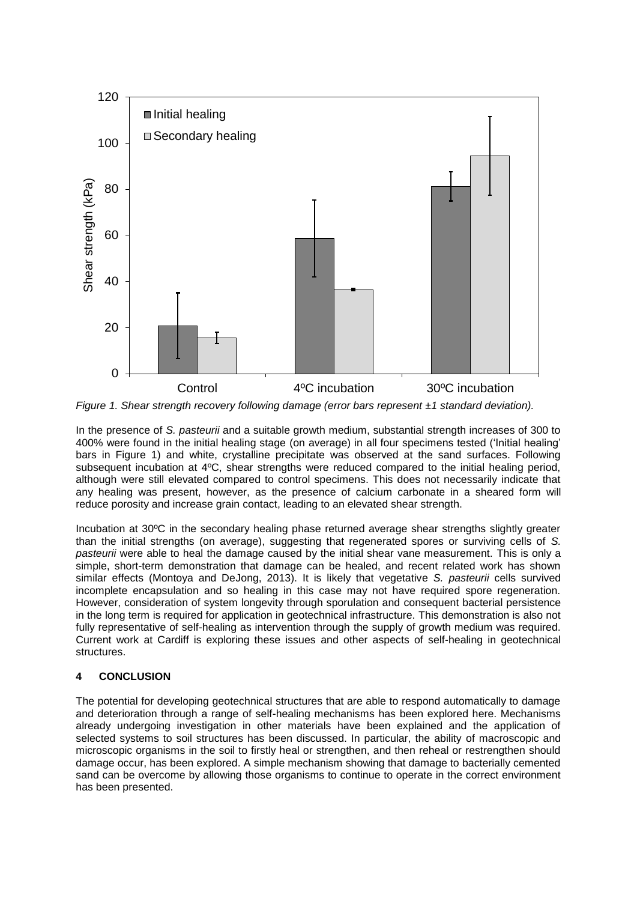

*Figure 1. Shear strength recovery following damage (error bars represent ±1 standard deviation).*

In the presence of *S. pasteurii* and a suitable growth medium, substantial strength increases of 300 to 400% were found in the initial healing stage (on average) in all four specimens tested ('Initial healing' bars in Figure 1) and white, crystalline precipitate was observed at the sand surfaces. Following subsequent incubation at 4ºC, shear strengths were reduced compared to the initial healing period, although were still elevated compared to control specimens. This does not necessarily indicate that any healing was present, however, as the presence of calcium carbonate in a sheared form will reduce porosity and increase grain contact, leading to an elevated shear strength.

Incubation at 30ºC in the secondary healing phase returned average shear strengths slightly greater than the initial strengths (on average), suggesting that regenerated spores or surviving cells of *S. pasteurii* were able to heal the damage caused by the initial shear vane measurement. This is only a simple, short-term demonstration that damage can be healed, and recent related work has shown similar effects (Montoya and DeJong, 2013). It is likely that vegetative *S. pasteurii* cells survived incomplete encapsulation and so healing in this case may not have required spore regeneration. However, consideration of system longevity through sporulation and consequent bacterial persistence in the long term is required for application in geotechnical infrastructure. This demonstration is also not fully representative of self-healing as intervention through the supply of growth medium was required. Current work at Cardiff is exploring these issues and other aspects of self-healing in geotechnical structures.

### **4 CONCLUSION**

The potential for developing geotechnical structures that are able to respond automatically to damage and deterioration through a range of self-healing mechanisms has been explored here. Mechanisms already undergoing investigation in other materials have been explained and the application of selected systems to soil structures has been discussed. In particular, the ability of macroscopic and microscopic organisms in the soil to firstly heal or strengthen, and then reheal or restrengthen should damage occur, has been explored. A simple mechanism showing that damage to bacterially cemented sand can be overcome by allowing those organisms to continue to operate in the correct environment has been presented.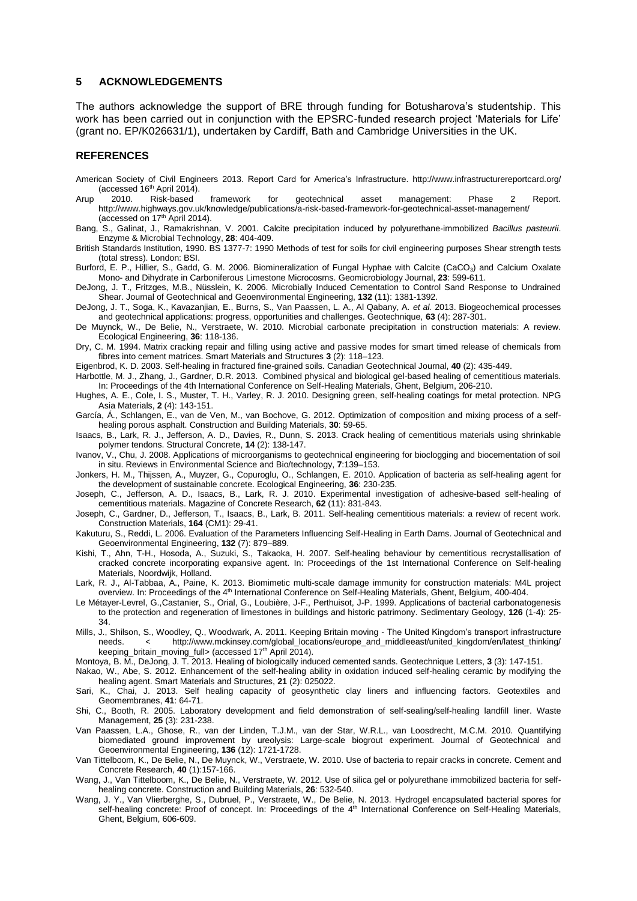#### **5 ACKNOWLEDGEMENTS**

The authors acknowledge the support of BRE through funding for Botusharova's studentship. This work has been carried out in conjunction with the EPSRC-funded research project 'Materials for Life' (grant no. EP/K026631/1), undertaken by Cardiff, Bath and Cambridge Universities in the UK.

#### **REFERENCES**

- American Society of Civil Engineers 2013. Report Card for America's Infrastructure. http://www.infrastructurereportcard.org/ (accessed  $16<sup>th</sup>$  April 2014).
- Arup 2010. Risk-based framework for geotechnical asset management: Phase 2 Report. http://www.highways.gov.uk/knowledge/publications/a-risk-based-framework-for-geotechnical-asset-management/ (accessed on 17<sup>th</sup> April 2014).
- Bang, S., Galinat, J., Ramakrishnan, V. 2001. Calcite precipitation induced by polyurethane-immobilized *Bacillus pasteurii*. Enzyme & Microbial Technology, **28**: 404-409.
- British Standards Institution, 1990. BS 1377-7: 1990 Methods of test for soils for civil engineering purposes Shear strength tests (total stress). London: BSI.
- Burford, E. P., Hillier, S., Gadd, G. M. 2006. Biomineralization of Fungal Hyphae with Calcite (CaCO<sub>3</sub>) and Calcium Oxalate Mono- and Dihydrate in Carboniferous Limestone Microcosms. Geomicrobiology Journal, **23**: 599-611.
- DeJong, J. T., Fritzges, M.B., Nüsslein, K. 2006. Microbially Induced Cementation to Control Sand Response to Undrained Shear. Journal of Geotechnical and Geoenvironmental Engineering, **132** (11): 1381-1392.
- DeJong, J. T., Soga, K., Kavazanjian, E., Burns, S., Van Paassen, L. A., Al Qabany, A. *et al.* 2013. Biogeochemical processes and geotechnical applications: progress, opportunities and challenges. Geotechnique, **63** (4): 287-301.
- De Muynck, W., De Belie, N., Verstraete, W. 2010. Microbial carbonate precipitation in construction materials: A review. Ecological Engineering, **36**: 118-136.
- Dry, C. M. 1994. Matrix cracking repair and filling using active and passive modes for smart timed release of chemicals from fibres into cement matrices. Smart Materials and Structures **3** (2): 118–123.

Eigenbrod, K. D. 2003. Self-healing in fractured fine-grained soils. Canadian Geotechnical Journal, **40** (2): 435-449.

- Harbottle, M. J., Zhang, J., Gardner, D.R. 2013. Combined physical and biological gel-based healing of cementitious materials. In: Proceedings of the 4th International Conference on Self-Healing Materials, Ghent, Belgium, 206-210.
- Hughes, A. E., Cole, I. S., Muster, T. H., Varley, R. J. 2010. Designing green, self-healing coatings for metal protection. NPG Asia Materials, **2** (4): 143-151.
- García, Á., Schlangen, E., van de Ven, M., van Bochove, G. 2012. Optimization of composition and mixing process of a selfhealing porous asphalt. Construction and Building Materials, **30**: 59-65.
- Isaacs, B., Lark, R. J., Jefferson, A. D., Davies, R., Dunn, S. 2013. Crack healing of cementitious materials using shrinkable polymer tendons. Structural Concrete, **14** (2): 138-147.
- Ivanov, V., Chu, J. 2008. Applications of microorganisms to geotechnical engineering for bioclogging and biocementation of soil in situ. Reviews in Environmental Science and Bio/technology, **7**:139–153.
- Jonkers, H. M., Thijssen, A., Muyzer, G., Copuroglu, O., Schlangen, E. 2010. Application of bacteria as self-healing agent for the development of sustainable concrete. Ecological Engineering, **36**: 230-235.
- Joseph, C., Jefferson, A. D., Isaacs, B., Lark, R. J. 2010. Experimental investigation of adhesive-based self-healing of cementitious materials. Magazine of Concrete Research, **62** (11): 831-843.
- Joseph, C., Gardner, D., Jefferson, T., Isaacs, B., Lark, B. 2011. Self-healing cementitious materials: a review of recent work. Construction Materials, **164** (CM1): 29-41.
- Kakuturu, S., Reddi, L. 2006. Evaluation of the Parameters Influencing Self-Healing in Earth Dams. Journal of Geotechnical and Geoenvironmental Engineering, **132** (7): 879–889.
- Kishi, T., Ahn, T-H., Hosoda, A., Suzuki, S., Takaoka, H. 2007. Self-healing behaviour by cementitious recrystallisation of cracked concrete incorporating expansive agent. In: Proceedings of the 1st International Conference on Self-healing Materials, Noordwijk, Holland.
- Lark, R. J., Al-Tabbaa, A., Paine, K. 2013. Biomimetic multi-scale damage immunity for construction materials: M4L project overview. In: Proceedings of the 4th International Conference on Self-Healing Materials, Ghent, Belgium, 400-404.
- Le Métayer-Levrel, G.,Castanier, S., Orial, G., Loubière, J-F., Perthuisot, J-P. 1999. Applications of bacterial carbonatogenesis to the protection and regeneration of limestones in buildings and historic patrimony. Sedimentary Geology, **126** (1-4): 25- 34.
- Mills, J., Shilson, S., Woodley, Q., Woodwark, A. 2011. Keeping Britain moving The United Kingdom's transport infrastructure needs. < http://www.mckinsey.com/global\_locations/europe\_and\_middleeast/united\_kingdom/en/latest\_thinking/ keeping britain moving full> (accessed 17<sup>th</sup> April 2014).
- Montoya, B. M., DeJong, J. T. 2013. Healing of biologically induced cemented sands. Geotechnique Letters, **3** (3): 147-151.
- Nakao, W., Abe, S. 2012. Enhancement of the self-healing ability in oxidation induced self-healing ceramic by modifying the healing agent. Smart Materials and Structures, **21** (2): 025022.
- Sari, K., Chai, J. 2013. Self healing capacity of geosynthetic clay liners and influencing factors. Geotextiles and Geomembranes, **41**: 64-71.
- Shi, C., Booth, R. 2005. Laboratory development and field demonstration of self-sealing/self-healing landfill liner. Waste Management, **25** (3): 231-238.
- Van Paassen, L.A., Ghose, R., van der Linden, T.J.M., van der Star, W.R.L., van Loosdrecht, M.C.M. 2010. Quantifying biomediated ground improvement by ureolysis: Large-scale biogrout experiment. Journal of Geotechnical and Geoenvironmental Engineering, **136** (12): 1721-1728.
- Van Tittelboom, K., De Belie, N., De Muynck, W., Verstraete, W. 2010. Use of bacteria to repair cracks in concrete. Cement and Concrete Research, **40** (1):157-166.
- Wang, J., Van Tittelboom, K., De Belie, N., Verstraete, W. 2012. Use of silica gel or polyurethane immobilized bacteria for selfhealing concrete. Construction and Building Materials, **26**: 532-540.
- Wang, J. Y., Van Vlierberghe, S., Dubruel, P., Verstraete, W., De Belie, N. 2013. Hydrogel encapsulated bacterial spores for self-healing concrete: Proof of concept. In: Proceedings of the 4<sup>th</sup> International Conference on Self-Healing Materials, Ghent, Belgium, 606-609.